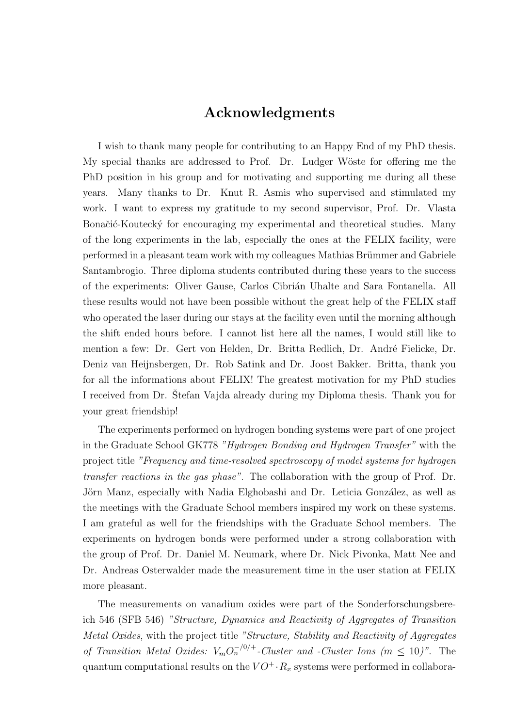## Acknowledgments

I wish to thank many people for contributing to an Happy End of my PhD thesis. My special thanks are addressed to Prof. Dr. Ludger W¨oste for offering me the PhD position in his group and for motivating and supporting me during all these years. Many thanks to Dr. Knut R. Asmis who supervised and stimulated my work. I want to express my gratitude to my second supervisor, Prof. Dr. Vlasta Bonačić-Koutecký for encouraging my experimental and theoretical studies. Many of the long experiments in the lab, especially the ones at the FELIX facility, were performed in a pleasant team work with my colleagues Mathias Brümmer and Gabriele Santambrogio. Three diploma students contributed during these years to the success of the experiments: Oliver Gause, Carlos Cibri´an Uhalte and Sara Fontanella. All these results would not have been possible without the great help of the FELIX staff who operated the laser during our stays at the facility even until the morning although the shift ended hours before. I cannot list here all the names, I would still like to mention a few: Dr. Gert von Helden, Dr. Britta Redlich, Dr. André Fielicke, Dr. Deniz van Heijnsbergen, Dr. Rob Satink and Dr. Joost Bakker. Britta, thank you for all the informations about FELIX! The greatest motivation for my PhD studies I received from Dr. Stefan Vajda already during my Diploma thesis. Thank you for your great friendship!

The experiments performed on hydrogen bonding systems were part of one project in the Graduate School GK778 "Hydrogen Bonding and Hydrogen Transfer" with the project title "Frequency and time-resolved spectroscopy of model systems for hydrogen transfer reactions in the gas phase". The collaboration with the group of Prof. Dr. Jörn Manz, especially with Nadia Elghobashi and Dr. Leticia González, as well as the meetings with the Graduate School members inspired my work on these systems. I am grateful as well for the friendships with the Graduate School members. The experiments on hydrogen bonds were performed under a strong collaboration with the group of Prof. Dr. Daniel M. Neumark, where Dr. Nick Pivonka, Matt Nee and Dr. Andreas Osterwalder made the measurement time in the user station at FELIX more pleasant.

The measurements on vanadium oxides were part of the Sonderforschungsbereich 546 (SFB 546) "Structure, Dynamics and Reactivity of Aggregates of Transition Metal Oxides, with the project title "Structure, Stability and Reactivity of Aggregates of Transition Metal Oxides:  $V_m O_n^{-/0/+}$ -Cluster and -Cluster Ions (m  $\leq 10$ )". The quantum computational results on the  $VO^+$  ·  $R_x$  systems were performed in collabora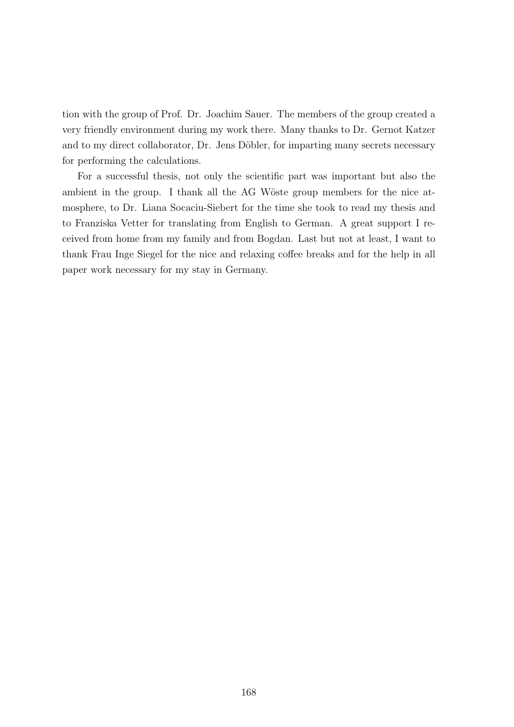tion with the group of Prof. Dr. Joachim Sauer. The members of the group created a very friendly environment during my work there. Many thanks to Dr. Gernot Katzer and to my direct collaborator, Dr. Jens Döbler, for imparting many secrets necessary for performing the calculations.

For a successful thesis, not only the scientific part was important but also the ambient in the group. I thank all the AG Wöste group members for the nice atmosphere, to Dr. Liana Socaciu-Siebert for the time she took to read my thesis and to Franziska Vetter for translating from English to German. A great support I received from home from my family and from Bogdan. Last but not at least, I want to thank Frau Inge Siegel for the nice and relaxing coffee breaks and for the help in all paper work necessary for my stay in Germany.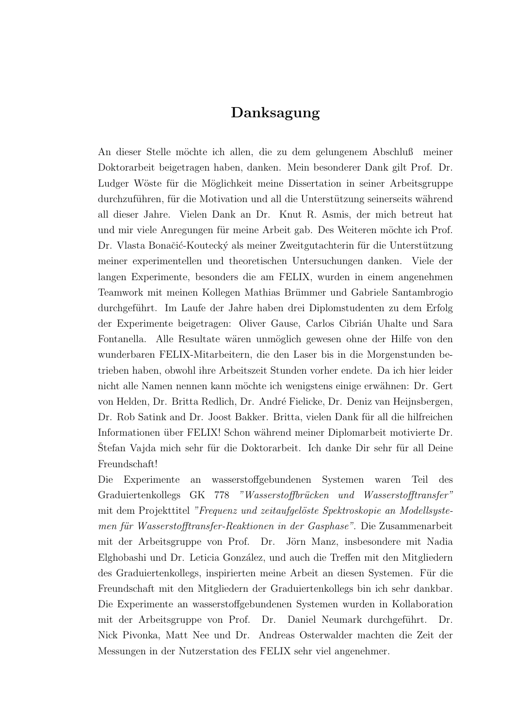## Danksagung

An dieser Stelle möchte ich allen, die zu dem gelungenem Abschluß meiner Doktorarbeit beigetragen haben, danken. Mein besonderer Dank gilt Prof. Dr. Ludger Wöste für die Möglichkeit meine Dissertation in seiner Arbeitsgruppe durchzuführen, für die Motivation und all die Unterstützung seinerseits während all dieser Jahre. Vielen Dank an Dr. Knut R. Asmis, der mich betreut hat und mir viele Anregungen für meine Arbeit gab. Des Weiteren möchte ich Prof. Dr. Vlasta Bonačić-Koutecký als meiner Zweitgutachterin für die Unterstützung meiner experimentellen und theoretischen Untersuchungen danken. Viele der langen Experimente, besonders die am FELIX, wurden in einem angenehmen Teamwork mit meinen Kollegen Mathias Brümmer und Gabriele Santambrogio durchgeführt. Im Laufe der Jahre haben drei Diplomstudenten zu dem Erfolg der Experimente beigetragen: Oliver Gause, Carlos Cibrián Uhalte und Sara Fontanella. Alle Resultate wären unmöglich gewesen ohne der Hilfe von den wunderbaren FELIX-Mitarbeitern, die den Laser bis in die Morgenstunden betrieben haben, obwohl ihre Arbeitszeit Stunden vorher endete. Da ich hier leider nicht alle Namen nennen kann möchte ich wenigstens einige erwähnen: Dr. Gert von Helden, Dr. Britta Redlich, Dr. André Fielicke, Dr. Deniz van Heijnsbergen, Dr. Rob Satink and Dr. Joost Bakker. Britta, vielen Dank für all die hilfreichen Informationen über FELIX! Schon während meiner Diplomarbeit motivierte Dr. Stefan Vajda mich sehr für die Doktorarbeit. Ich danke Dir sehr für all Deine Freundschaft!

Die Experimente an wasserstoffgebundenen Systemen waren Teil des Graduiertenkollegs GK 778 "Wasserstoffbrücken und Wasserstofftransfer" mit dem Projekttitel "Frequenz und zeitaufgelöste Spektroskopie an Modellsystemen für Wasserstofftransfer-Reaktionen in der Gasphase". Die Zusammenarbeit mit der Arbeitsgruppe von Prof. Dr. Jörn Manz, insbesondere mit Nadia Elghobashi und Dr. Leticia Gonz´alez, und auch die Treffen mit den Mitgliedern des Graduiertenkollegs, inspirierten meine Arbeit an diesen Systemen. Für die Freundschaft mit den Mitgliedern der Graduiertenkollegs bin ich sehr dankbar. Die Experimente an wasserstoffgebundenen Systemen wurden in Kollaboration mit der Arbeitsgruppe von Prof. Dr. Daniel Neumark durchgeführt. Dr. Nick Pivonka, Matt Nee und Dr. Andreas Osterwalder machten die Zeit der Messungen in der Nutzerstation des FELIX sehr viel angenehmer.